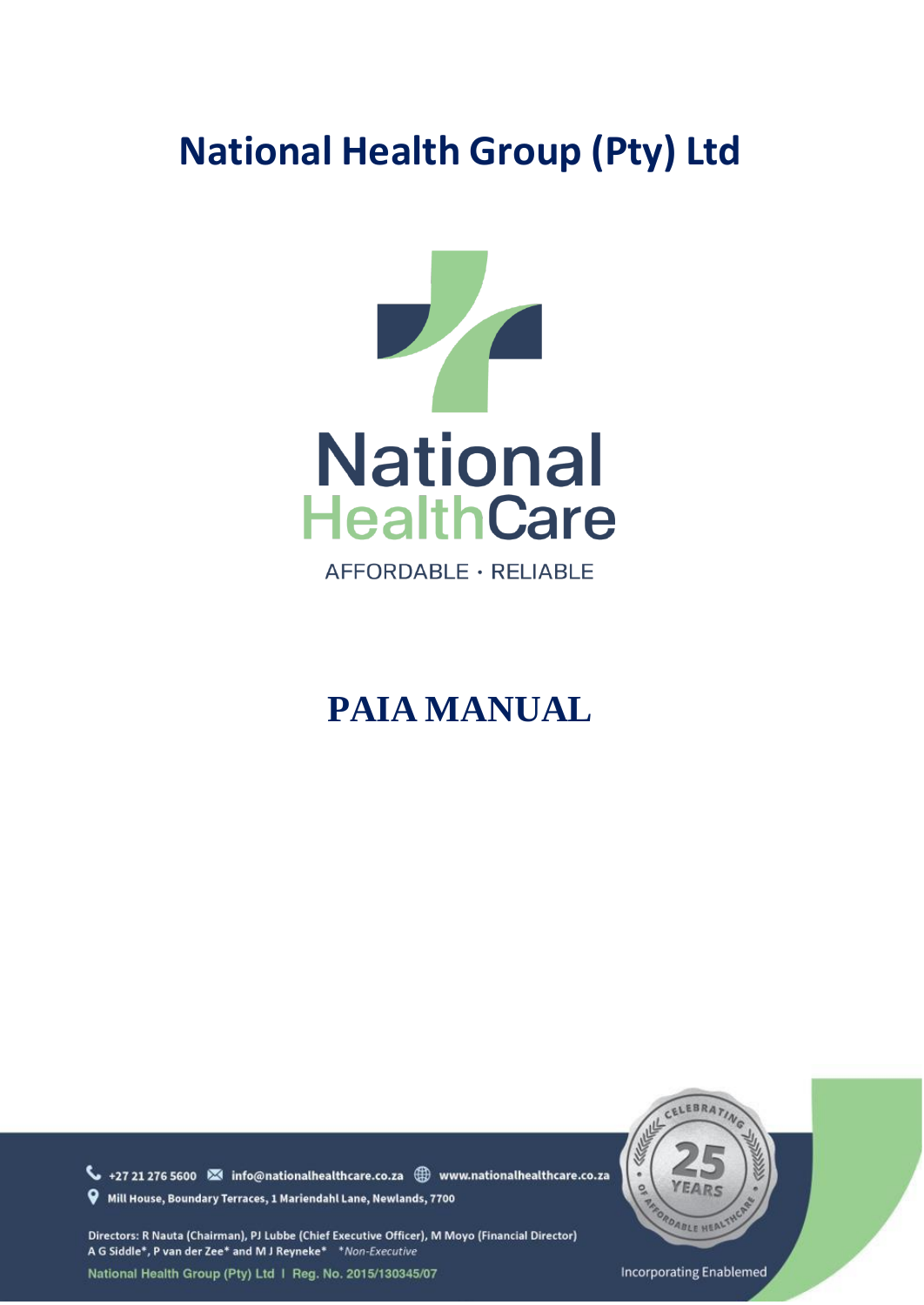# **National Health Group (Pty) Ltd**



AFFORDABLE · RELIABLE

# **PAIA MANUAL**

+27 21 276 5600 <a>
info@nationalhealthcare.co.za <a>
www.nationalhealthcare.co.za Will House, Boundary Terraces, 1 Mariendahl Lane, Newlands, 7700

Directors: R Nauta (Chairman), PJ Lubbe (Chief Executive Officer), M Moyo (Financial Director) A G Siddle\*, P van der Zee\* and M J Reyneke\* \* Non-Executive National Health Group (Pty) Ltd | Reg. No. 2015/130345/07



**Incorporating Enablemed**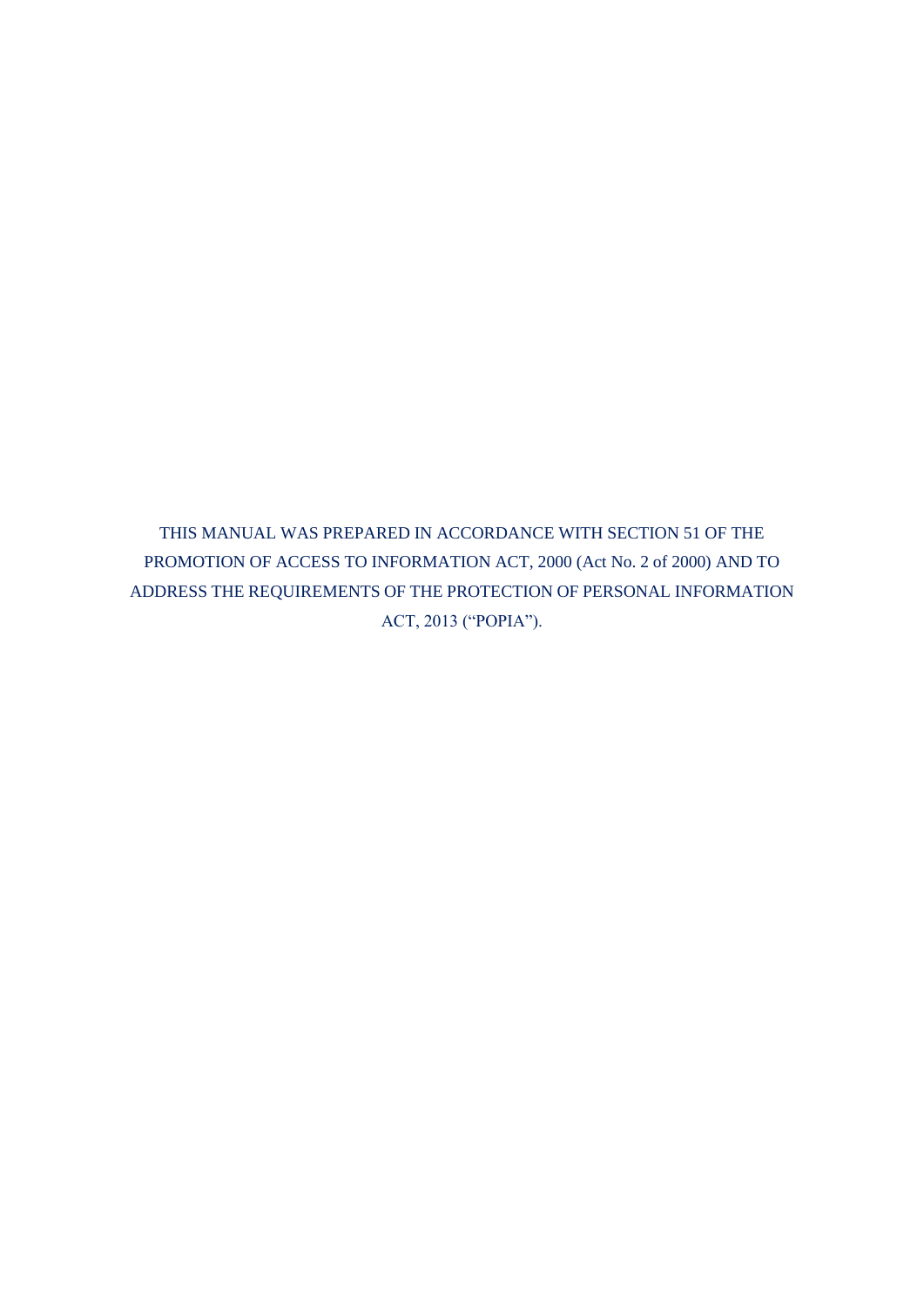THIS MANUAL WAS PREPARED IN ACCORDANCE WITH SECTION 51 OF THE PROMOTION OF ACCESS TO INFORMATION ACT, 2000 (Act No. 2 of 2000) AND TO ADDRESS THE REQUIREMENTS OF THE PROTECTION OF PERSONAL INFORMATION ACT, 2013 ("POPIA").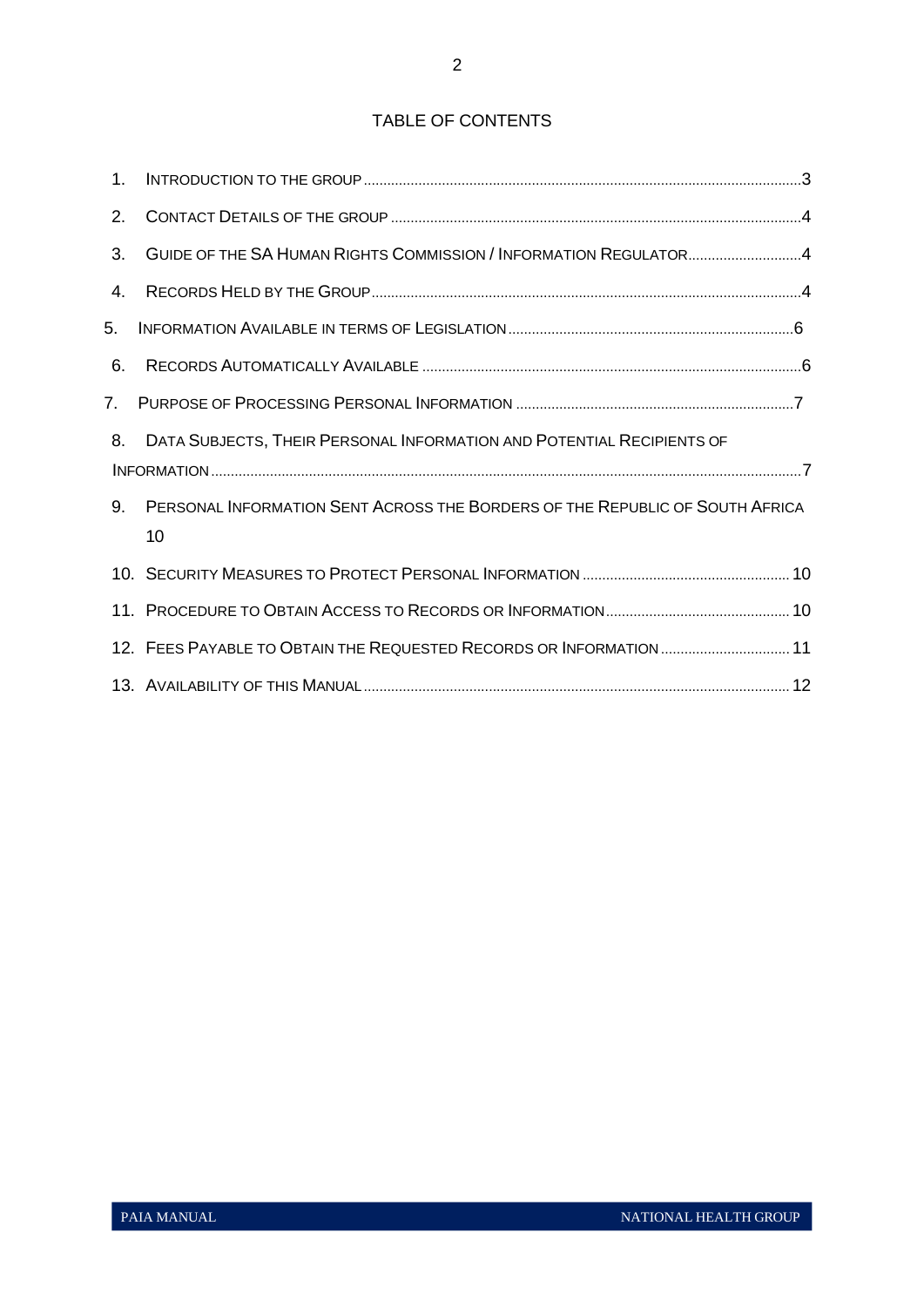# TABLE OF CONTENTS

| 1 <sub>1</sub> |                                                                                    |  |
|----------------|------------------------------------------------------------------------------------|--|
| 2.             |                                                                                    |  |
| 3.             | GUIDE OF THE SA HUMAN RIGHTS COMMISSION / INFORMATION REGULATOR4                   |  |
| 4.             |                                                                                    |  |
| 5.             |                                                                                    |  |
| 6.             |                                                                                    |  |
| 7.             |                                                                                    |  |
| 8.             | DATA SUBJECTS, THEIR PERSONAL INFORMATION AND POTENTIAL RECIPIENTS OF              |  |
| 9.             | PERSONAL INFORMATION SENT ACROSS THE BORDERS OF THE REPUBLIC OF SOUTH AFRICA<br>10 |  |
|                |                                                                                    |  |
|                |                                                                                    |  |
|                | 12. FEES PAYABLE TO OBTAIN THE REQUESTED RECORDS OR INFORMATION  11                |  |
|                |                                                                                    |  |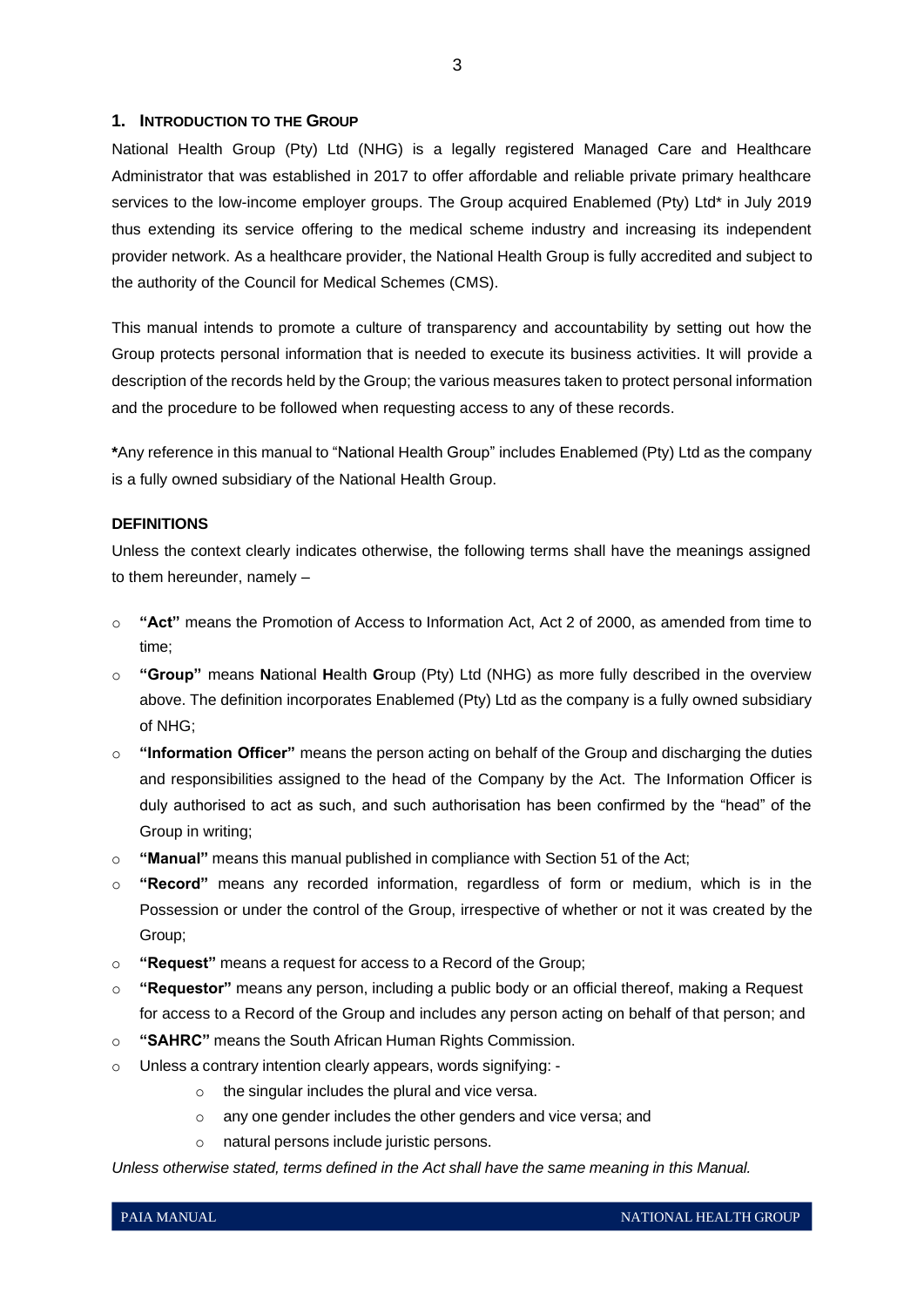#### <span id="page-3-0"></span>**1. INTRODUCTION TO THE GROUP**

National Health Group (Pty) Ltd (NHG) is a legally registered Managed Care and Healthcare Administrator that was established in 2017 to offer affordable and reliable private primary healthcare services to the low-income employer groups. The Group acquired Enablemed (Pty) Ltd\* in July 2019 thus extending its service offering to the medical scheme industry and increasing its independent provider network. As a healthcare provider, the National Health Group is fully accredited and subject to the authority of the Council for Medical Schemes (CMS).

This manual intends to promote a culture of transparency and accountability by setting out how the Group protects personal information that is needed to execute its business activities. It will provide a description of the records held by the Group; the various measures taken to protect personal information and the procedure to be followed when requesting access to any of these records.

**\***Any reference in this manual to "National Health Group" includes Enablemed (Pty) Ltd as the company is a fully owned subsidiary of the National Health Group.

# **DEFINITIONS**

Unless the context clearly indicates otherwise, the following terms shall have the meanings assigned to them hereunder, namely –

- o **"Act"** means the Promotion of Access to Information Act, Act 2 of 2000, as amended from time to time;
- o **"Group"** means **N**ational **H**ealth **G**roup (Pty) Ltd (NHG) as more fully described in the overview above. The definition incorporates Enablemed (Pty) Ltd as the company is a fully owned subsidiary of NHG;
- o **"Information Officer"** means the person acting on behalf of the Group and discharging the duties and responsibilities assigned to the head of the Company by the Act. The Information Officer is duly authorised to act as such, and such authorisation has been confirmed by the "head" of the Group in writing;
- o **"Manual"** means this manual published in compliance with Section 51 of the Act;
- o **"Record"** means any recorded information, regardless of form or medium, which is in the Possession or under the control of the Group, irrespective of whether or not it was created by the Group;
- o **"Request"** means a request for access to a Record of the Group;
- o **"Requestor"** means any person, including a public body or an official thereof, making a Request for access to a Record of the Group and includes any person acting on behalf of that person; and
- o **"SAHRC"** means the South African Human Rights Commission.
- o Unless a contrary intention clearly appears, words signifying:
	- o the singular includes the plural and vice versa.
	- o any one gender includes the other genders and vice versa; and
	- o natural persons include juristic persons.

*Unless otherwise stated, terms defined in the Act shall have the same meaning in this Manual.*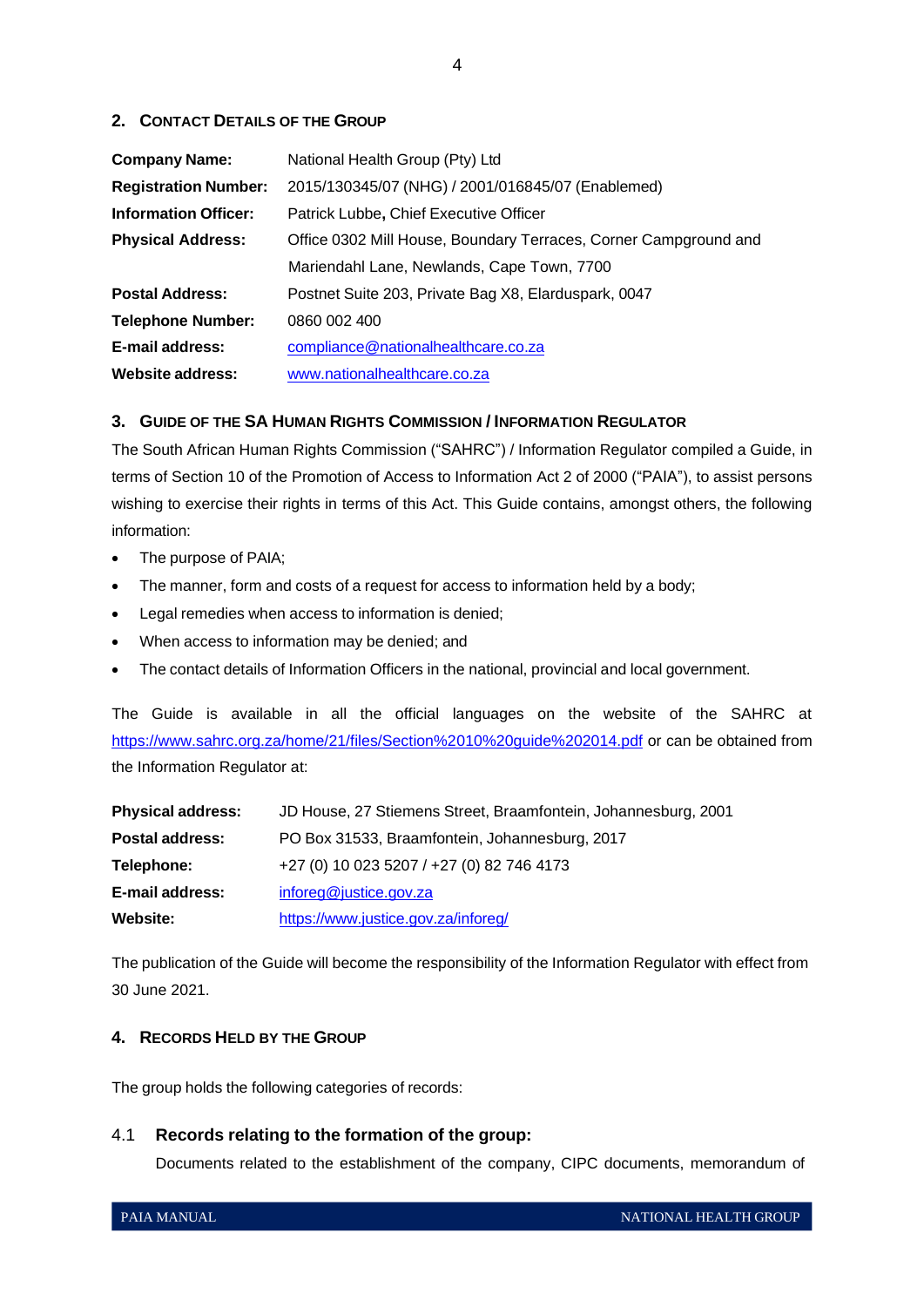# <span id="page-4-0"></span>**2. CONTACT DETAILS OF THE GROUP**

| <b>Company Name:</b>        | National Health Group (Pty) Ltd                                  |  |  |  |
|-----------------------------|------------------------------------------------------------------|--|--|--|
| <b>Registration Number:</b> | 2015/130345/07 (NHG) / 2001/016845/07 (Enablemed)                |  |  |  |
| <b>Information Officer:</b> | Patrick Lubbe, Chief Executive Officer                           |  |  |  |
| <b>Physical Address:</b>    | Office 0302 Mill House, Boundary Terraces, Corner Campground and |  |  |  |
|                             | Mariendahl Lane, Newlands, Cape Town, 7700                       |  |  |  |
| <b>Postal Address:</b>      | Postnet Suite 203, Private Bag X8, Elarduspark, 0047             |  |  |  |
| <b>Telephone Number:</b>    | 0860 002 400                                                     |  |  |  |
| E-mail address:             | compliance@nationalhealthcare.co.za                              |  |  |  |
| Website address:            | www.nationalhealthcare.co.za                                     |  |  |  |

# <span id="page-4-1"></span>**3. GUIDE OF THE SA HUMAN RIGHTS COMMISSION / INFORMATION REGULATOR**

The South African Human Rights Commission ("SAHRC") / Information Regulator compiled a Guide, in terms of Section 10 of the Promotion of Access to Information Act 2 of 2000 ("PAIA"), to assist persons wishing to exercise their rights in terms of this Act. This Guide contains, amongst others, the following information:

- The purpose of PAIA;
- The manner, form and costs of a request for access to information held by a body;
- Legal remedies when access to information is denied;
- When access to information may be denied; and
- The contact details of Information Officers in the national, provincial and local government.

The Guide is available in all the official languages on the website of the SAHRC at <https://www.sahrc.org.za/home/21/files/Section%2010%20guide%202014.pdf> or can be obtained from the Information Regulator at:

| <b>Physical address:</b> | JD House, 27 Stiemens Street, Braamfontein, Johannesburg, 2001 |
|--------------------------|----------------------------------------------------------------|
| <b>Postal address:</b>   | PO Box 31533, Braamfontein, Johannesburg, 2017                 |
| Telephone:               | +27 (0) 10 023 5207 / +27 (0) 82 746 4173                      |
| E-mail address:          | inforeg@justice.gov.za                                         |
| Website:                 | https://www.justice.gov.za/inforeg/                            |

The publication of the Guide will become the responsibility of the Information Regulator with effect from 30 June 2021.

# <span id="page-4-2"></span>**4. RECORDS HELD BY THE GROUP**

The group holds the following categories of records:

# 4.1 **Records relating to the formation of the group:**

Documents related to the establishment of the company, CIPC documents, memorandum of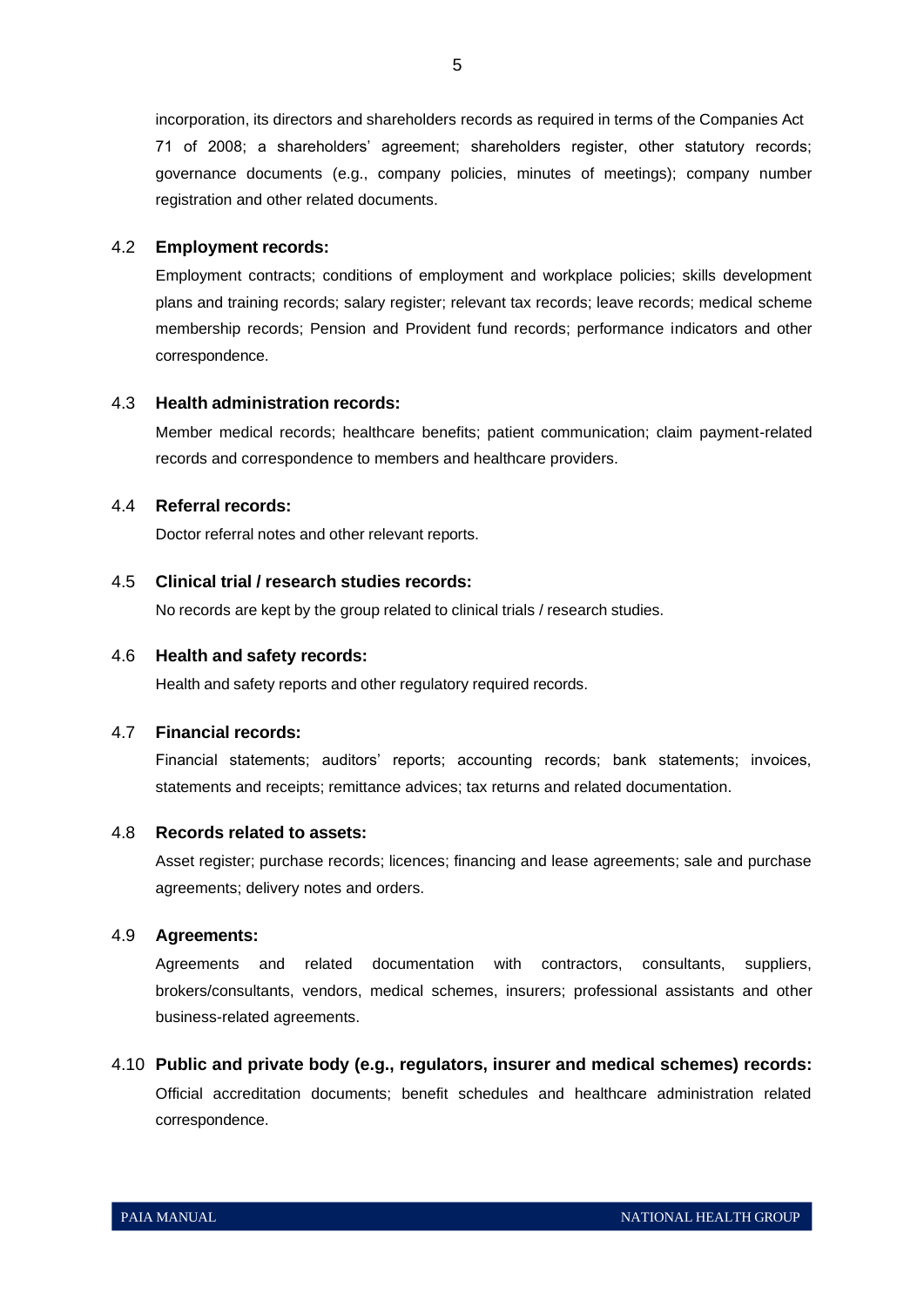incorporation, its directors and shareholders records as required in terms of the Companies Act 71 of 2008; a shareholders' agreement; shareholders register, other statutory records; governance documents (e.g., company policies, minutes of meetings); company number registration and other related documents.

# 4.2 **Employment records:**

Employment contracts; conditions of employment and workplace policies; skills development plans and training records; salary register; relevant tax records; leave records; medical scheme membership records; Pension and Provident fund records; performance indicators and other correspondence.

# 4.3 **Health administration records:**

Member medical records; healthcare benefits; patient communication; claim payment-related records and correspondence to members and healthcare providers.

# 4.4 **Referral records:**

Doctor referral notes and other relevant reports.

## 4.5 **Clinical trial / research studies records:**

No records are kept by the group related to clinical trials / research studies.

# 4.6 **Health and safety records:**

Health and safety reports and other regulatory required records.

#### 4.7 **Financial records:**

Financial statements; auditors' reports; accounting records; bank statements; invoices, statements and receipts; remittance advices; tax returns and related documentation.

# 4.8 **Records related to assets:**

Asset register; purchase records; licences; financing and lease agreements; sale and purchase agreements; delivery notes and orders.

#### 4.9 **Agreements:**

Agreements and related documentation with contractors, consultants, suppliers, brokers/consultants, vendors, medical schemes, insurers; professional assistants and other business-related agreements.

# 4.10 **Public and private body (e.g., regulators, insurer and medical schemes) records:**  Official accreditation documents; benefit schedules and healthcare administration related correspondence.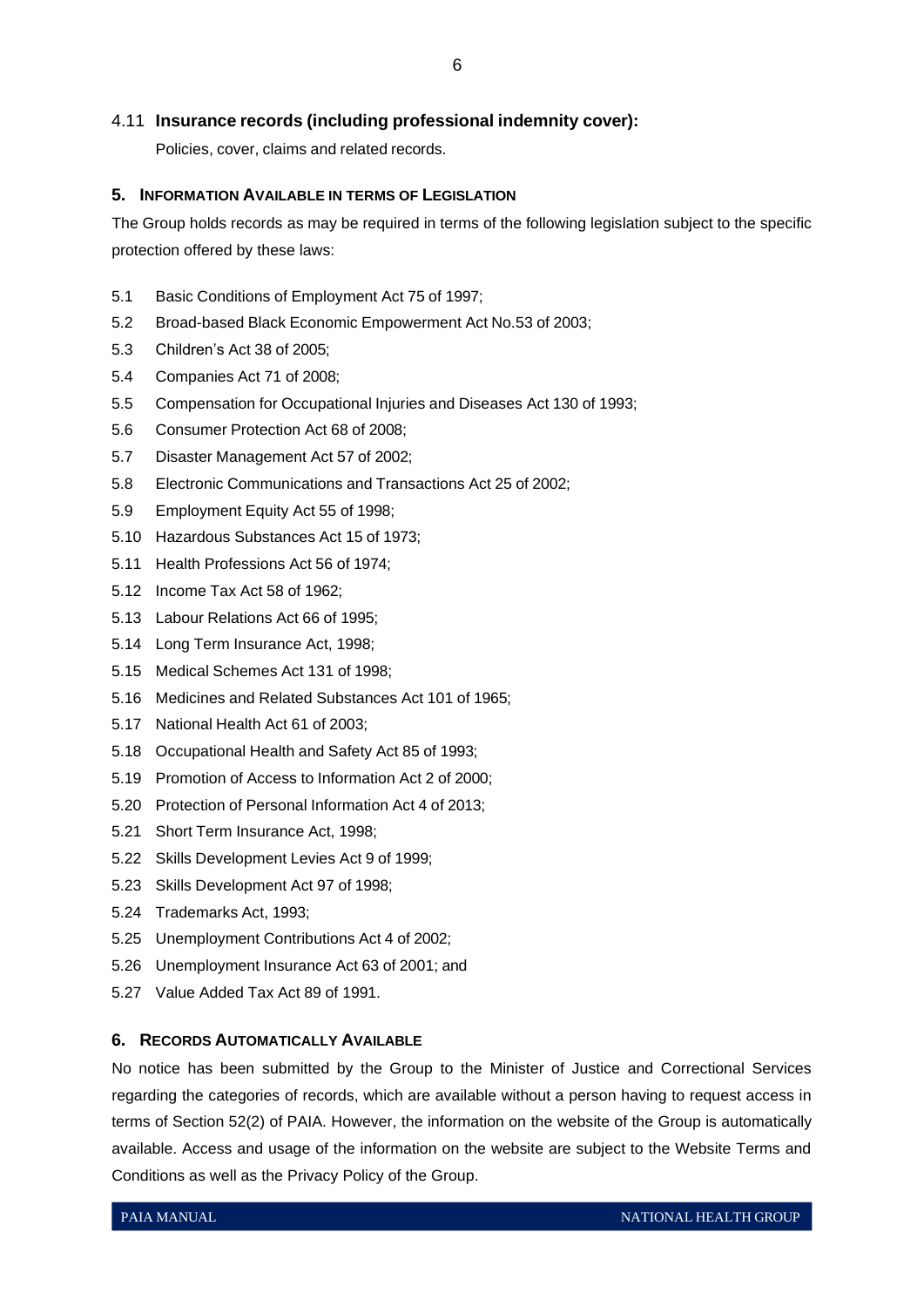# 4.11 **Insurance records (including professional indemnity cover):**

Policies, cover, claims and related records.

# <span id="page-6-0"></span>**5. INFORMATION AVAILABLE IN TERMS OF LEGISLATION**

The Group holds records as may be required in terms of the following legislation subject to the specific protection offered by these laws:

- 5.1 Basic Conditions of Employment Act 75 of 1997;
- 5.2 Broad-based Black Economic Empowerment Act No.53 of 2003;
- 5.3 Children's Act 38 of 2005;
- 5.4 Companies Act 71 of 2008;
- 5.5 Compensation for Occupational Injuries and Diseases Act 130 of 1993;
- 5.6 Consumer Protection Act 68 of 2008;
- 5.7 Disaster Management Act 57 of 2002;
- 5.8 Electronic Communications and Transactions Act 25 of 2002;
- 5.9 Employment Equity Act 55 of 1998;
- 5.10 Hazardous Substances Act 15 of 1973;
- 5.11 Health Professions Act 56 of 1974;
- 5.12 Income Tax Act 58 of 1962;
- 5.13 Labour Relations Act 66 of 1995;
- 5.14 Long Term Insurance Act, 1998;
- 5.15 Medical Schemes Act 131 of 1998;
- 5.16 Medicines and Related Substances Act 101 of 1965;
- 5.17 National Health Act 61 of 2003;
- 5.18 Occupational Health and Safety Act 85 of 1993;
- 5.19 Promotion of Access to Information Act 2 of 2000;
- 5.20 Protection of Personal Information Act 4 of 2013;
- 5.21 Short Term Insurance Act, 1998;
- 5.22 Skills Development Levies Act 9 of 1999;
- 5.23 Skills Development Act 97 of 1998;
- 5.24 Trademarks Act, 1993;
- 5.25 Unemployment Contributions Act 4 of 2002;
- 5.26 Unemployment Insurance Act 63 of 2001; and
- 5.27 Value Added Tax Act 89 of 1991.

#### <span id="page-6-1"></span>**6. RECORDS AUTOMATICALLY AVAILABLE**

No notice has been submitted by the Group to the Minister of Justice and Correctional Services regarding the categories of records, which are available without a person having to request access in terms of Section 52(2) of PAIA. However, the information on the website of the Group is automatically available. Access and usage of the information on the website are subject to the Website Terms and Conditions as well as the Privacy Policy of the Group.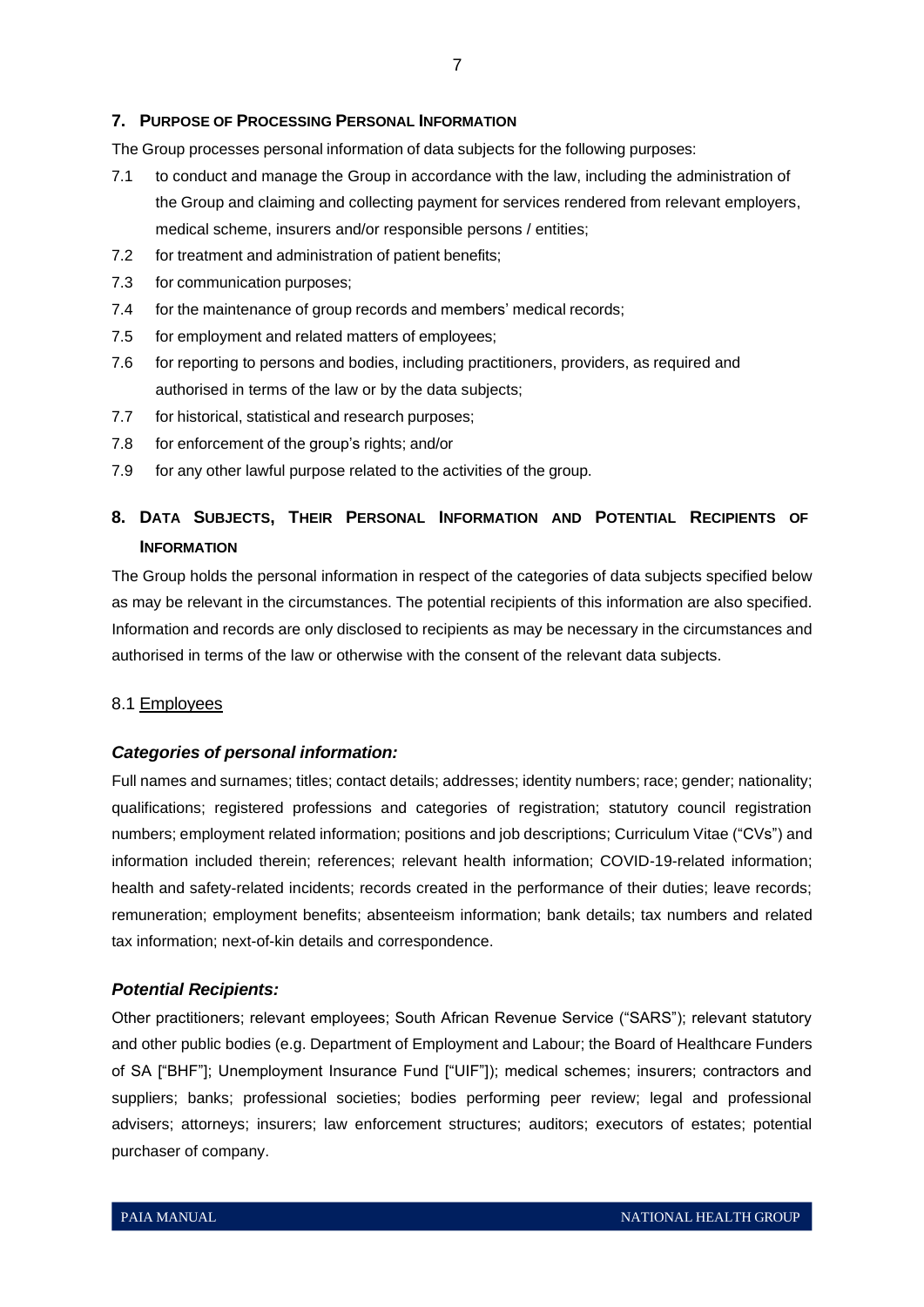#### <span id="page-7-0"></span>**7. PURPOSE OF PROCESSING PERSONAL INFORMATION**

The Group processes personal information of data subjects for the following purposes:

- 7.1 to conduct and manage the Group in accordance with the law, including the administration of the Group and claiming and collecting payment for services rendered from relevant employers, medical scheme, insurers and/or responsible persons / entities;
- 7.2 for treatment and administration of patient benefits;
- 7.3 for communication purposes;
- 7.4 for the maintenance of group records and members' medical records;
- 7.5 for employment and related matters of employees;
- 7.6 for reporting to persons and bodies, including practitioners, providers, as required and authorised in terms of the law or by the data subjects;
- 7.7 for historical, statistical and research purposes;
- 7.8 for enforcement of the group's rights; and/or
- 7.9 for any other lawful purpose related to the activities of the group.

# <span id="page-7-1"></span>**8. DATA SUBJECTS, THEIR PERSONAL INFORMATION AND POTENTIAL RECIPIENTS OF INFORMATION**

The Group holds the personal information in respect of the categories of data subjects specified below as may be relevant in the circumstances. The potential recipients of this information are also specified. Information and records are only disclosed to recipients as may be necessary in the circumstances and authorised in terms of the law or otherwise with the consent of the relevant data subjects.

# 8.1 Employees

#### *Categories of personal information:*

Full names and surnames; titles; contact details; addresses; identity numbers; race; gender; nationality; qualifications; registered professions and categories of registration; statutory council registration numbers; employment related information; positions and job descriptions; Curriculum Vitae ("CVs") and information included therein; references; relevant health information; COVID-19-related information; health and safety-related incidents; records created in the performance of their duties; leave records; remuneration; employment benefits; absenteeism information; bank details; tax numbers and related tax information; next-of-kin details and correspondence.

#### *Potential Recipients:*

Other practitioners; relevant employees; South African Revenue Service ("SARS"); relevant statutory and other public bodies (e.g. Department of Employment and Labour; the Board of Healthcare Funders of SA ["BHF"]; Unemployment Insurance Fund ["UIF"]); medical schemes; insurers; contractors and suppliers; banks; professional societies; bodies performing peer review; legal and professional advisers; attorneys; insurers; law enforcement structures; auditors; executors of estates; potential purchaser of company.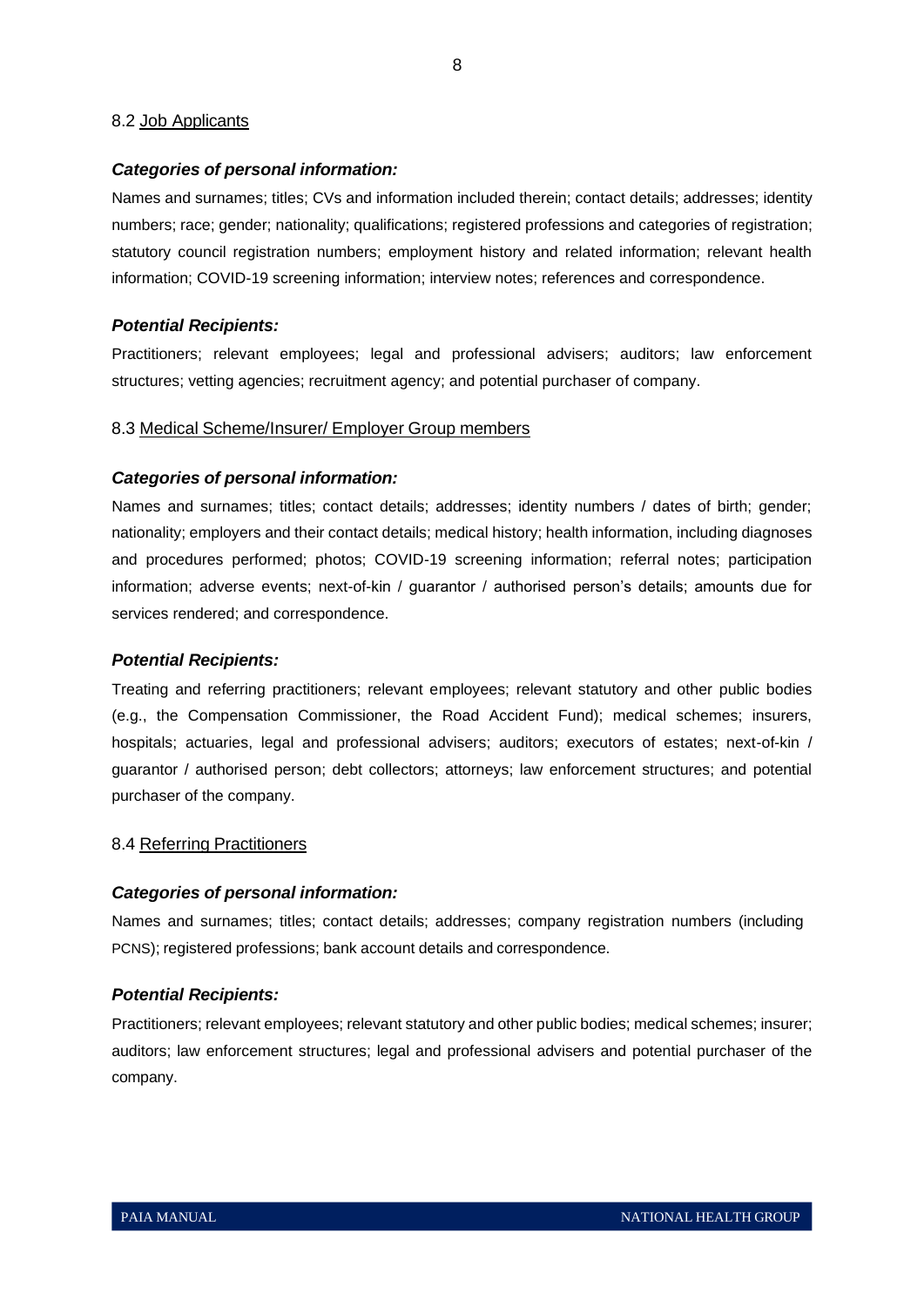# 8.2 Job Applicants

# *Categories of personal information:*

Names and surnames; titles; CVs and information included therein; contact details; addresses; identity numbers; race; gender; nationality; qualifications; registered professions and categories of registration; statutory council registration numbers; employment history and related information; relevant health information; COVID-19 screening information; interview notes; references and correspondence.

## *Potential Recipients:*

Practitioners; relevant employees; legal and professional advisers; auditors; law enforcement structures; vetting agencies; recruitment agency; and potential purchaser of company.

# 8.3 Medical Scheme/Insurer/ Employer Group members

# *Categories of personal information:*

Names and surnames; titles; contact details; addresses; identity numbers / dates of birth; gender; nationality; employers and their contact details; medical history; health information, including diagnoses and procedures performed; photos; COVID-19 screening information; referral notes; participation information; adverse events; next-of-kin / guarantor / authorised person's details; amounts due for services rendered; and correspondence.

#### *Potential Recipients:*

Treating and referring practitioners; relevant employees; relevant statutory and other public bodies (e.g., the Compensation Commissioner, the Road Accident Fund); medical schemes; insurers, hospitals; actuaries, legal and professional advisers; auditors; executors of estates; next-of-kin / guarantor / authorised person; debt collectors; attorneys; law enforcement structures; and potential purchaser of the company.

#### 8.4 Referring Practitioners

#### *Categories of personal information:*

Names and surnames; titles; contact details; addresses; company registration numbers (including PCNS); registered professions; bank account details and correspondence.

#### *Potential Recipients:*

Practitioners; relevant employees; relevant statutory and other public bodies; medical schemes; insurer; auditors; law enforcement structures; legal and professional advisers and potential purchaser of the company.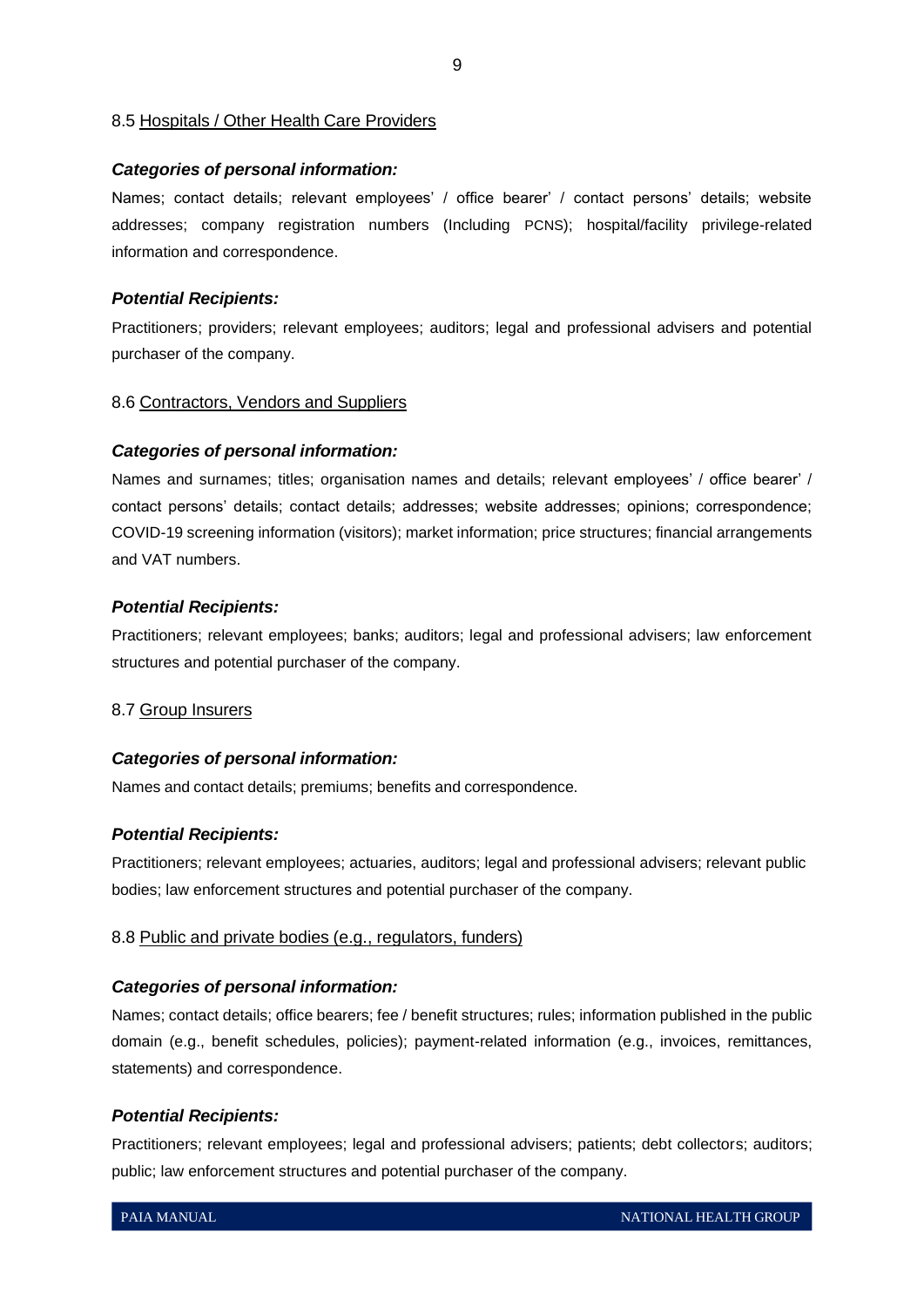#### 8.5 Hospitals / Other Health Care Providers

#### *Categories of personal information:*

Names; contact details; relevant employees' / office bearer' / contact persons' details; website addresses; company registration numbers (Including PCNS); hospital/facility privilege-related information and correspondence.

#### *Potential Recipients:*

Practitioners; providers; relevant employees; auditors; legal and professional advisers and potential purchaser of the company.

# 8.6 Contractors, Vendors and Suppliers

#### *Categories of personal information:*

Names and surnames; titles; organisation names and details; relevant employees' / office bearer' / contact persons' details; contact details; addresses; website addresses; opinions; correspondence; COVID-19 screening information (visitors); market information; price structures; financial arrangements and VAT numbers.

#### *Potential Recipients:*

Practitioners; relevant employees; banks; auditors; legal and professional advisers; law enforcement structures and potential purchaser of the company.

#### 8.7 Group Insurers

#### *Categories of personal information:*

Names and contact details; premiums; benefits and correspondence.

#### *Potential Recipients:*

Practitioners; relevant employees; actuaries, auditors; legal and professional advisers; relevant public bodies; law enforcement structures and potential purchaser of the company.

#### 8.8 Public and private bodies (e.g., regulators, funders)

#### *Categories of personal information:*

Names; contact details; office bearers; fee / benefit structures; rules; information published in the public domain (e.g., benefit schedules, policies); payment-related information (e.g., invoices, remittances, statements) and correspondence.

#### *Potential Recipients:*

Practitioners; relevant employees; legal and professional advisers; patients; debt collectors; auditors; public; law enforcement structures and potential purchaser of the company.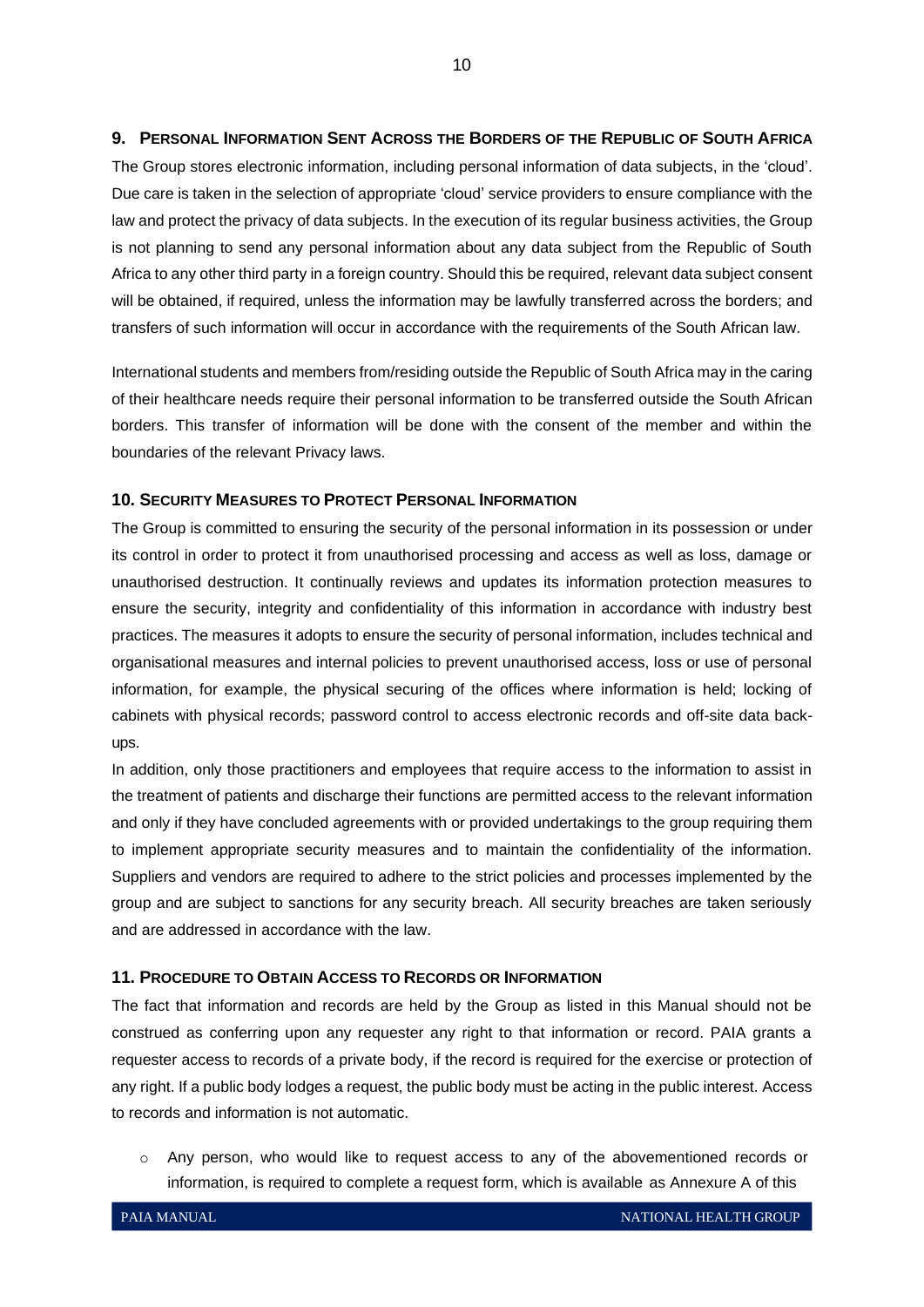# <span id="page-10-0"></span>**9. PERSONAL INFORMATION SENT ACROSS THE BORDERS OF THE REPUBLIC OF SOUTH AFRICA**

The Group stores electronic information, including personal information of data subjects, in the 'cloud'. Due care is taken in the selection of appropriate 'cloud' service providers to ensure compliance with the law and protect the privacy of data subjects. In the execution of its regular business activities, the Group is not planning to send any personal information about any data subject from the Republic of South Africa to any other third party in a foreign country. Should this be required, relevant data subject consent will be obtained, if required, unless the information may be lawfully transferred across the borders; and transfers of such information will occur in accordance with the requirements of the South African law.

International students and members from/residing outside the Republic of South Africa may in the caring of their healthcare needs require their personal information to be transferred outside the South African borders. This transfer of information will be done with the consent of the member and within the boundaries of the relevant Privacy laws.

# <span id="page-10-1"></span>**10. SECURITY MEASURES TO PROTECT PERSONAL INFORMATION**

The Group is committed to ensuring the security of the personal information in its possession or under its control in order to protect it from unauthorised processing and access as well as loss, damage or unauthorised destruction. It continually reviews and updates its information protection measures to ensure the security, integrity and confidentiality of this information in accordance with industry best practices. The measures it adopts to ensure the security of personal information, includes technical and organisational measures and internal policies to prevent unauthorised access, loss or use of personal information, for example, the physical securing of the offices where information is held; locking of cabinets with physical records; password control to access electronic records and off-site data backups.

In addition, only those practitioners and employees that require access to the information to assist in the treatment of patients and discharge their functions are permitted access to the relevant information and only if they have concluded agreements with or provided undertakings to the group requiring them to implement appropriate security measures and to maintain the confidentiality of the information. Suppliers and vendors are required to adhere to the strict policies and processes implemented by the group and are subject to sanctions for any security breach. All security breaches are taken seriously and are addressed in accordance with the law.

# <span id="page-10-2"></span>**11. PROCEDURE TO OBTAIN ACCESS TO RECORDS OR INFORMATION**

The fact that information and records are held by the Group as listed in this Manual should not be construed as conferring upon any requester any right to that information or record. PAIA grants a requester access to records of a private body, if the record is required for the exercise or protection of any right. If a public body lodges a request, the public body must be acting in the public interest. Access to records and information is not automatic.

o Any person, who would like to request access to any of the abovementioned records or information, is required to complete a request form, which is available as Annexure A of this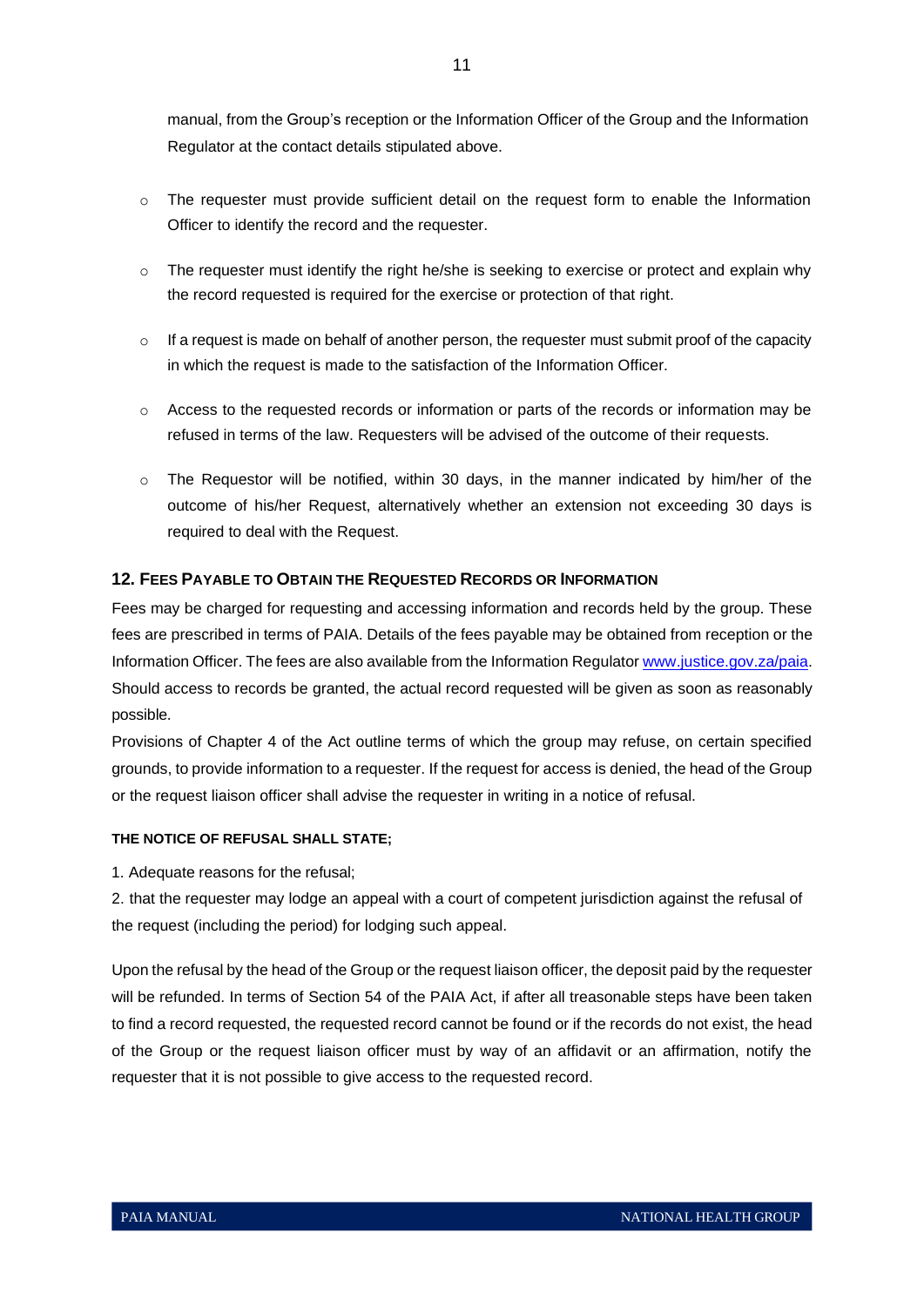manual, from the Group's reception or the Information Officer of the Group and the Information Regulator at the contact details stipulated above.

- $\circ$  The requester must provide sufficient detail on the request form to enable the Information Officer to identify the record and the requester.
- $\circ$  The requester must identify the right he/she is seeking to exercise or protect and explain why the record requested is required for the exercise or protection of that right.
- $\circ$  If a request is made on behalf of another person, the requester must submit proof of the capacity in which the request is made to the satisfaction of the Information Officer.
- o Access to the requested records or information or parts of the records or information may be refused in terms of the law. Requesters will be advised of the outcome of their requests.
- $\circ$  The Requestor will be notified, within 30 days, in the manner indicated by him/her of the outcome of his/her Request, alternatively whether an extension not exceeding 30 days is required to deal with the Request.

# <span id="page-11-0"></span>**12. FEES PAYABLE TO OBTAIN THE REQUESTED RECORDS OR INFORMATION**

Fees may be charged for requesting and accessing information and records held by the group. These fees are prescribed in terms of PAIA. Details of the fees payable may be obtained from reception or the Information Officer. The fees are also available from the Information Regulator [www.justice.gov.za/paia.](http://www.justice.gov.za/paia) Should access to records be granted, the actual record requested will be given as soon as reasonably possible.

Provisions of Chapter 4 of the Act outline terms of which the group may refuse, on certain specified grounds, to provide information to a requester. If the request for access is denied, the head of the Group or the request liaison officer shall advise the requester in writing in a notice of refusal.

#### **THE NOTICE OF REFUSAL SHALL STATE;**

1. Adequate reasons for the refusal;

2. that the requester may lodge an appeal with a court of competent jurisdiction against the refusal of the request (including the period) for lodging such appeal.

Upon the refusal by the head of the Group or the request liaison officer, the deposit paid by the requester will be refunded. In terms of Section 54 of the PAIA Act, if after all treasonable steps have been taken to find a record requested, the requested record cannot be found or if the records do not exist, the head of the Group or the request liaison officer must by way of an affidavit or an affirmation, notify the requester that it is not possible to give access to the requested record.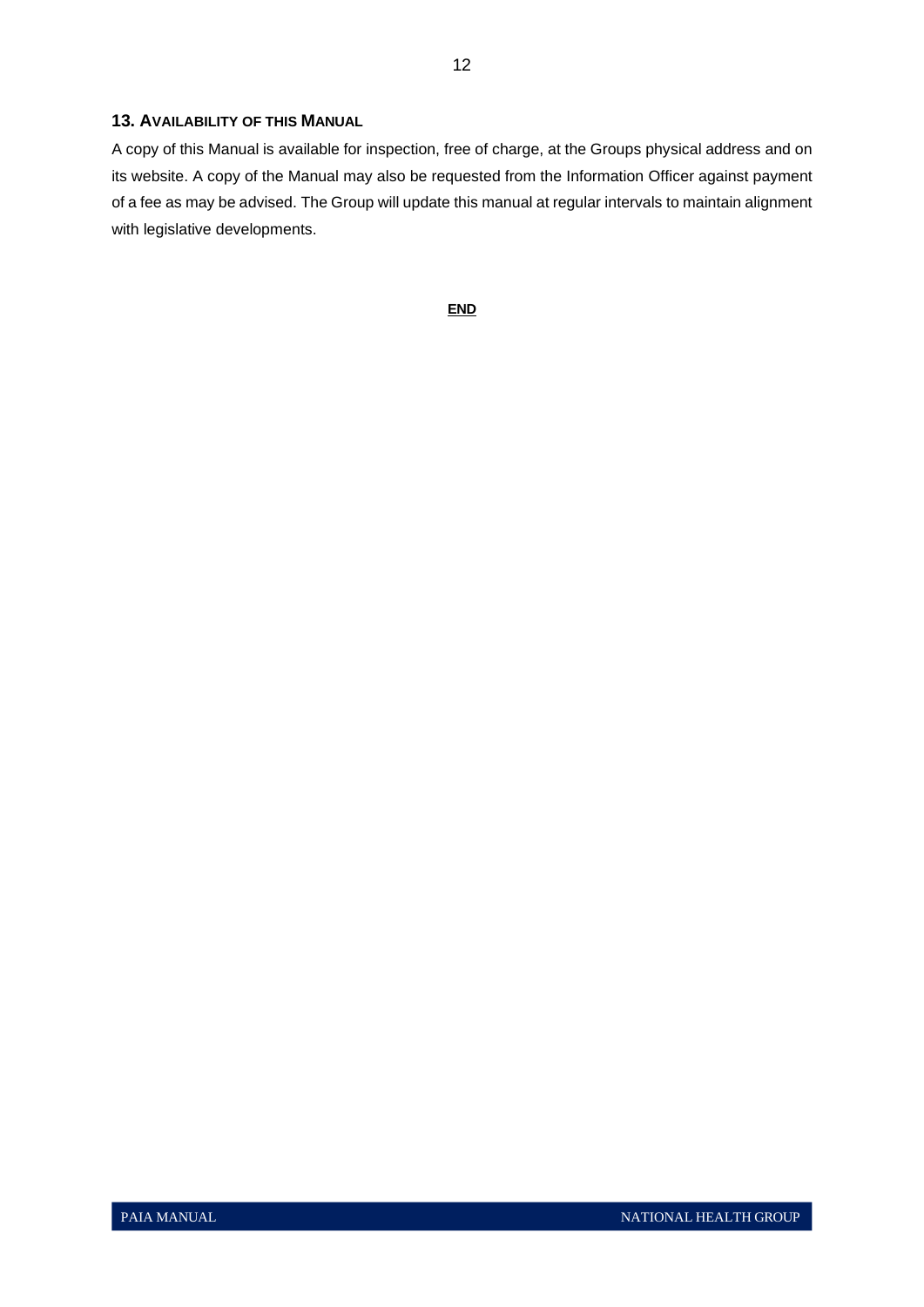## <span id="page-12-0"></span>**13. AVAILABILITY OF THIS MANUAL**

A copy of this Manual is available for inspection, free of charge, at the Groups physical address and on its website. A copy of the Manual may also be requested from the Information Officer against payment of a fee as may be advised. The Group will update this manual at regular intervals to maintain alignment with legislative developments.

**END**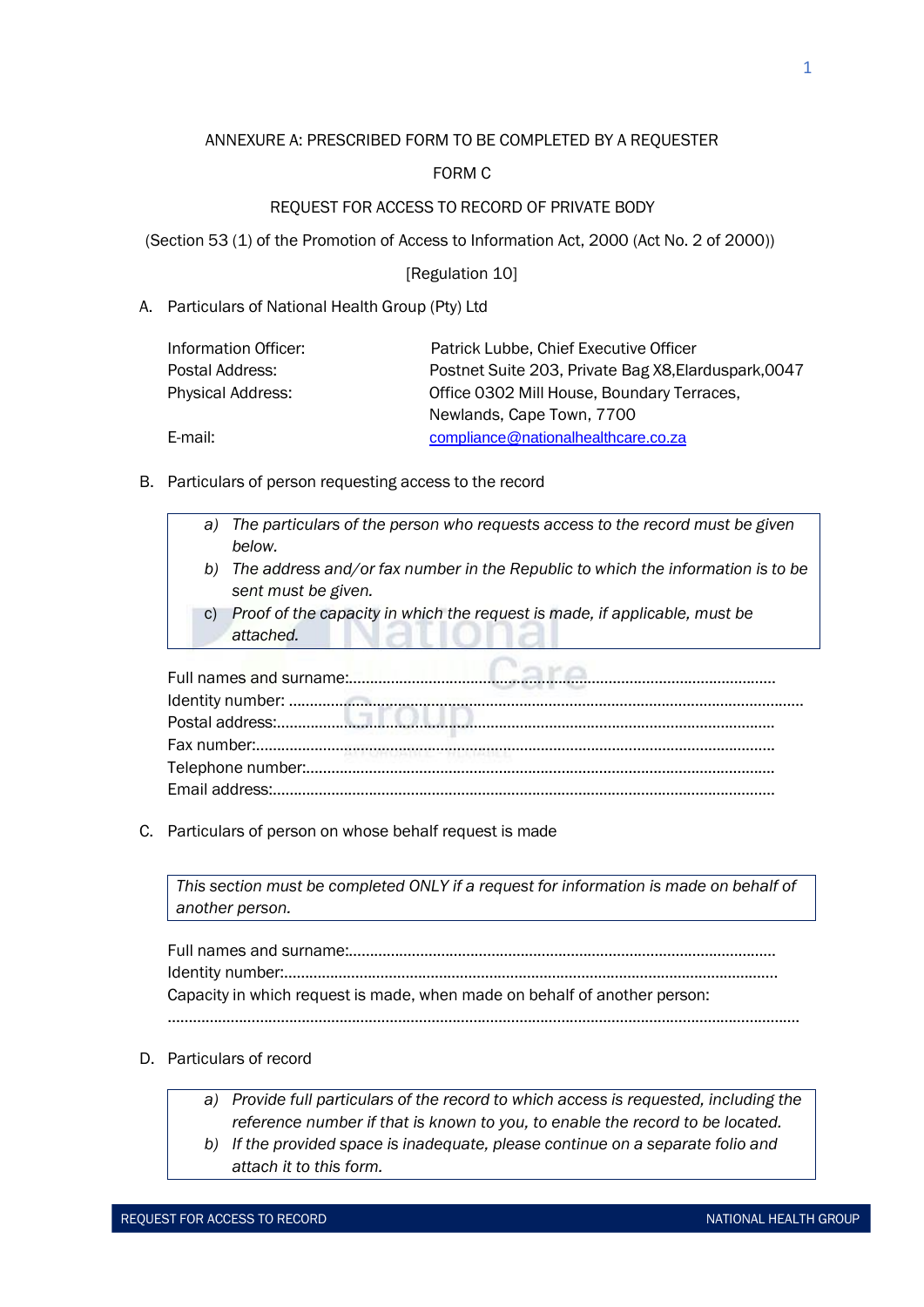# ANNEXURE A: PRESCRIBED FORM TO BE COMPLETED BY A REQUESTER

# FORM C

# REQUEST FOR ACCESS TO RECORD OF PRIVATE BODY

(Section 53 (1) of the Promotion of Access to Information Act, 2000 (Act No. 2 of 2000))

# [Regulation 10]

# A. Particulars of National Health Group (Pty) Ltd

| Patrick Lubbe, Chief Executive Officer               |  |  |  |
|------------------------------------------------------|--|--|--|
| Postnet Suite 203, Private Bag X8, Elarduspark, 0047 |  |  |  |
| Office 0302 Mill House, Boundary Terraces,           |  |  |  |
| Newlands, Cape Town, 7700                            |  |  |  |
| compliance@nationalhealthcare.co.za                  |  |  |  |
|                                                      |  |  |  |

- B. Particulars of person requesting access to the record
	- *a) The particulars of the person who requests access to the record must be given below. b) The address and/or fax number in the Republic to which the information is to be sent must be given.*
		- c) *Proof of the capacity in which the request is made, if applicable, must be attached.*

C. Particulars of person on whose behalf request is made

*This section must be completed ONLY if a request for information is made on behalf of another person.*

Full names and surname:………………………………………………………………………………………… Identity number:………………………………………………………………………………………………………. Capacity in which request is made, when made on behalf of another person: …………………………………………………………………………………………………………………………………….

- D. Particulars of record
	- *a) Provide full particulars of the record to which access is requested, including the reference number if that is known to you, to enable the record to be located.*
	- *b) If the provided space is inadequate, please continue on a separate folio and attach it to this form.*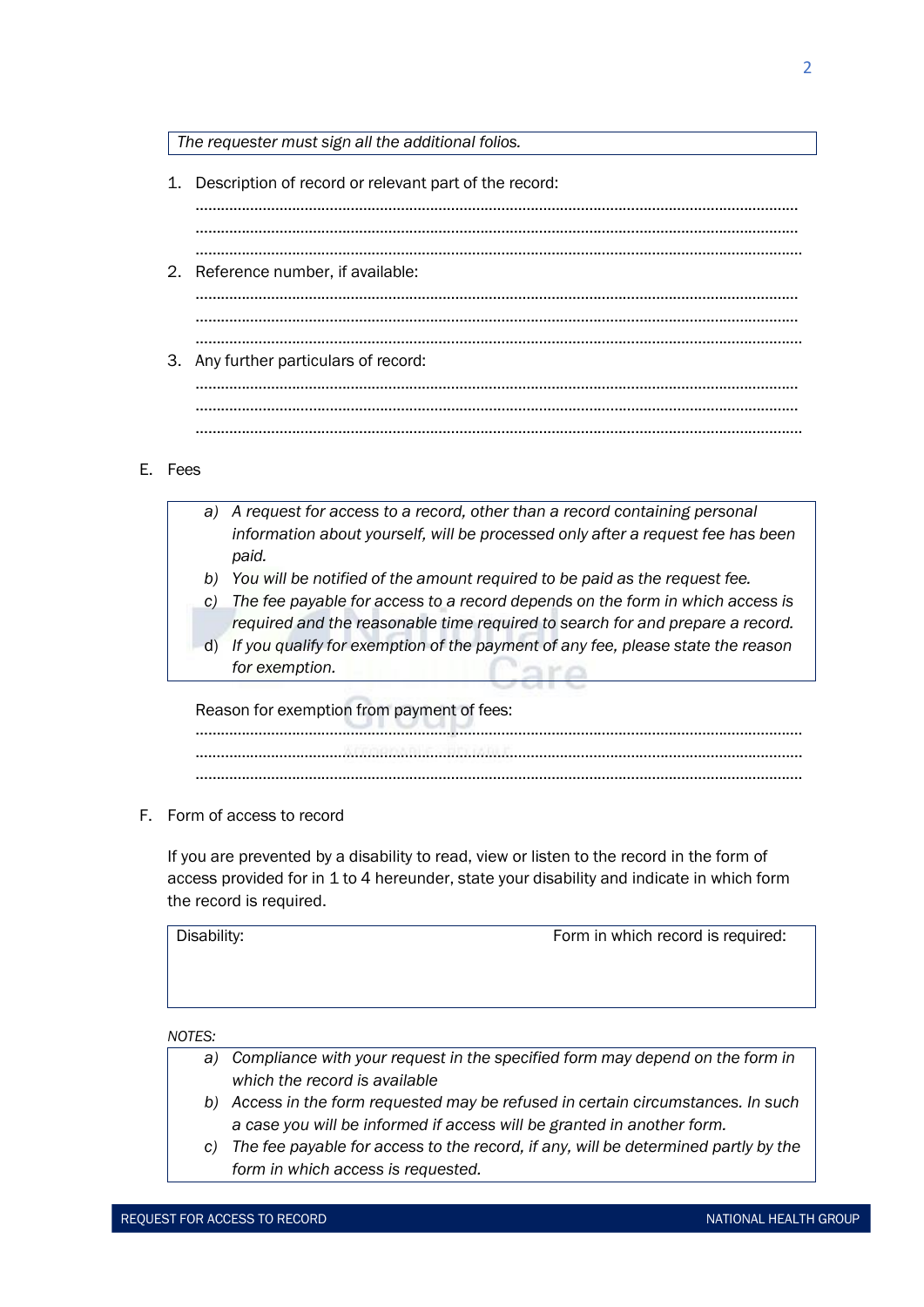*The requester must sign all the additional folios.*

1. Description of record or relevant part of the record: . The contract of the contract of the contract of the contract of the contract of the contract of the contract of the contract of the contract of the contract of the contract of the contract of the contract of the contrac ……………………………………………………………………………………………………………………………… ………………………………………………………………………………………………………………………………. 2. Reference number, if available: ……………………………………………………………………………………………………………………………… ……………………………………………………………………………………………………………………………… ………………………………………………………………………………………………………………………………. 3. Any further particulars of record: ……………………………………………………………………………………………………………………………… ……………………………………………………………………………………………………………………………… ……………………………………………………………………………………………………………………………….

# E. Fees

- *a) A request for access to a record, other than a record containing personal information about yourself, will be processed only after a request fee has been paid.*
	- *b) You will be notified of the amount required to be paid as the request fee.*
- *c) The fee payable for access to a record depends on the form in which access is required and the reasonable time required to search for and prepare a record.*
- d) *If you qualify for exemption of the payment of any fee, please state the reason for exemption.*

Reason for exemption from payment of fees:

………………………………………………………………………………………………………………………………. .……………………………………………………………………………………………………………………………… ……………………………………………………………………………………………………………………………….

F. Form of access to record

If you are prevented by a disability to read, view or listen to the record in the form of access provided for in 1 to 4 hereunder, state your disability and indicate in which form the record is required.

Disability: **Form in which record is required:** Form in which record is required:

*NOTES:*

| a) Compliance with your request in the specified form may depend on the form in |
|---------------------------------------------------------------------------------|
| which the record is available                                                   |

- *b) Access in the form requested may be refused in certain circumstances. In such a case you will be informed if access will be granted in another form.*
- *c) The fee payable for access to the record, if any, will be determined partly by the form in which access is requested.*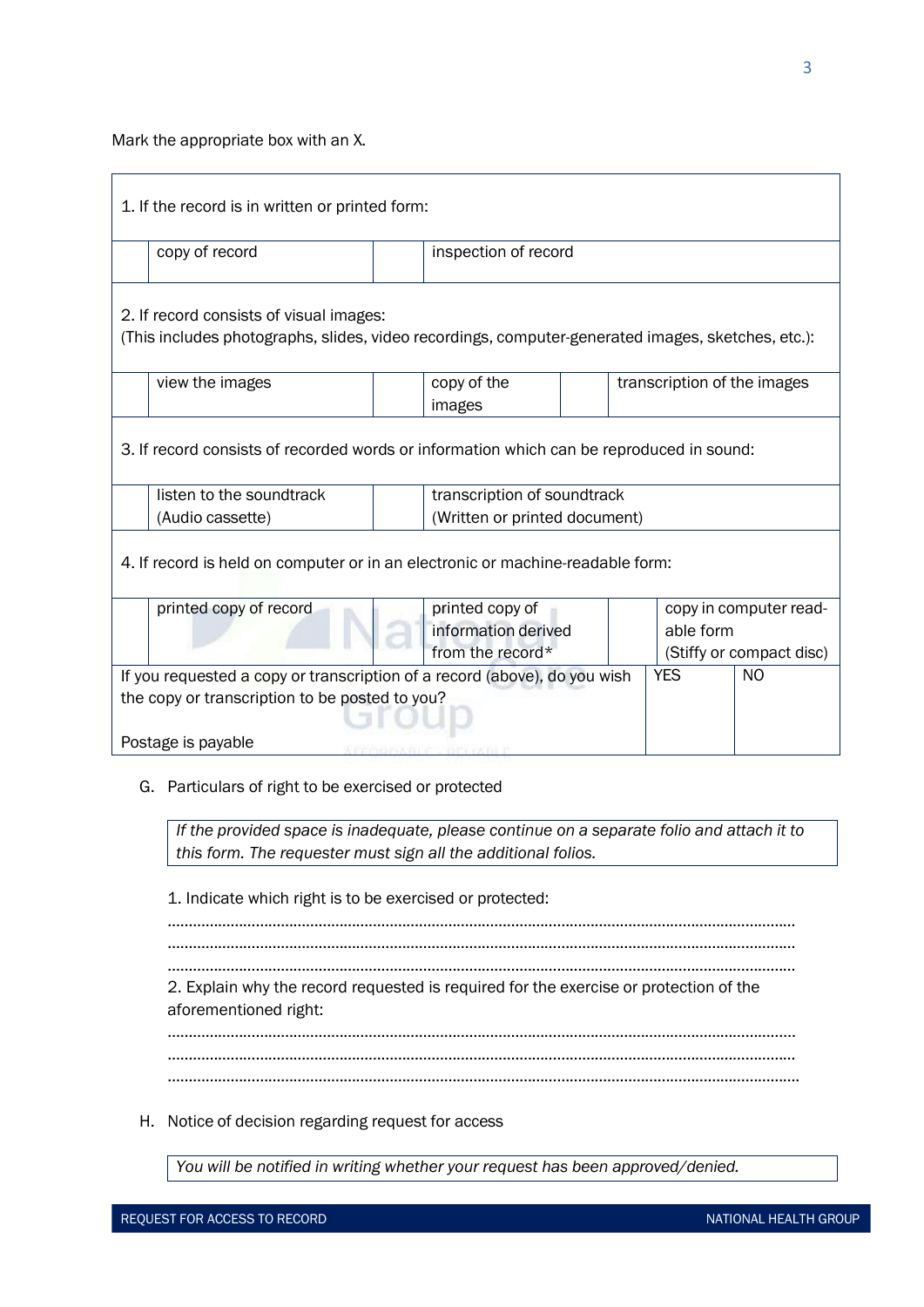# Mark the appropriate box with an X.

| 1. If the record is in written or printed form:                                          |                                                                                                   |  |                                                      |            |           |                          |  |  |
|------------------------------------------------------------------------------------------|---------------------------------------------------------------------------------------------------|--|------------------------------------------------------|------------|-----------|--------------------------|--|--|
|                                                                                          | copy of record                                                                                    |  | inspection of record                                 |            |           |                          |  |  |
|                                                                                          |                                                                                                   |  |                                                      |            |           |                          |  |  |
|                                                                                          | 2. If record consists of visual images:                                                           |  |                                                      |            |           |                          |  |  |
|                                                                                          | (This includes photographs, slides, video recordings, computer-generated images, sketches, etc.): |  |                                                      |            |           |                          |  |  |
|                                                                                          | view the images                                                                                   |  | copy of the<br>transcription of the images<br>images |            |           |                          |  |  |
| 3. If record consists of recorded words or information which can be reproduced in sound: |                                                                                                   |  |                                                      |            |           |                          |  |  |
|                                                                                          | listen to the soundtrack                                                                          |  | transcription of soundtrack                          |            |           |                          |  |  |
|                                                                                          | (Audio cassette)                                                                                  |  | (Written or printed document)                        |            |           |                          |  |  |
| 4. If record is held on computer or in an electronic or machine-readable form:           |                                                                                                   |  |                                                      |            |           |                          |  |  |
|                                                                                          | printed copy of record                                                                            |  | printed copy of                                      |            |           | copy in computer read-   |  |  |
|                                                                                          |                                                                                                   |  | information derived                                  |            | able form |                          |  |  |
|                                                                                          |                                                                                                   |  | from the record*                                     |            |           | (Stiffy or compact disc) |  |  |
|                                                                                          | If you requested a copy or transcription of a record (above), do you wish                         |  |                                                      | <b>YES</b> | NO.       |                          |  |  |
| the copy or transcription to be posted to you?                                           |                                                                                                   |  |                                                      |            |           |                          |  |  |
|                                                                                          |                                                                                                   |  |                                                      |            |           |                          |  |  |
| Postage is payable                                                                       |                                                                                                   |  |                                                      |            |           |                          |  |  |

# G. Particulars of right to be exercised or protected

*If the provided space is inadequate, please continue on a separate folio and attach it to this form. The requester must sign all the additional folios.*

1. Indicate which right is to be exercised or protected:

…………………………………………………………………………………………………………………………………… …………………………………………………………………………………………………………………………………… …………………………………………………………………………………………………………………………………… 2. Explain why the record requested is required for the exercise or protection of the aforementioned right:

…………………………………………………………………………………………………………………………………… …………………………………………………………………………………………………………………………………… …………………………………………………………………………………………………………………………………….

H. Notice of decision regarding request for access

*You will be notified in writing whether your request has been approved/denied.*